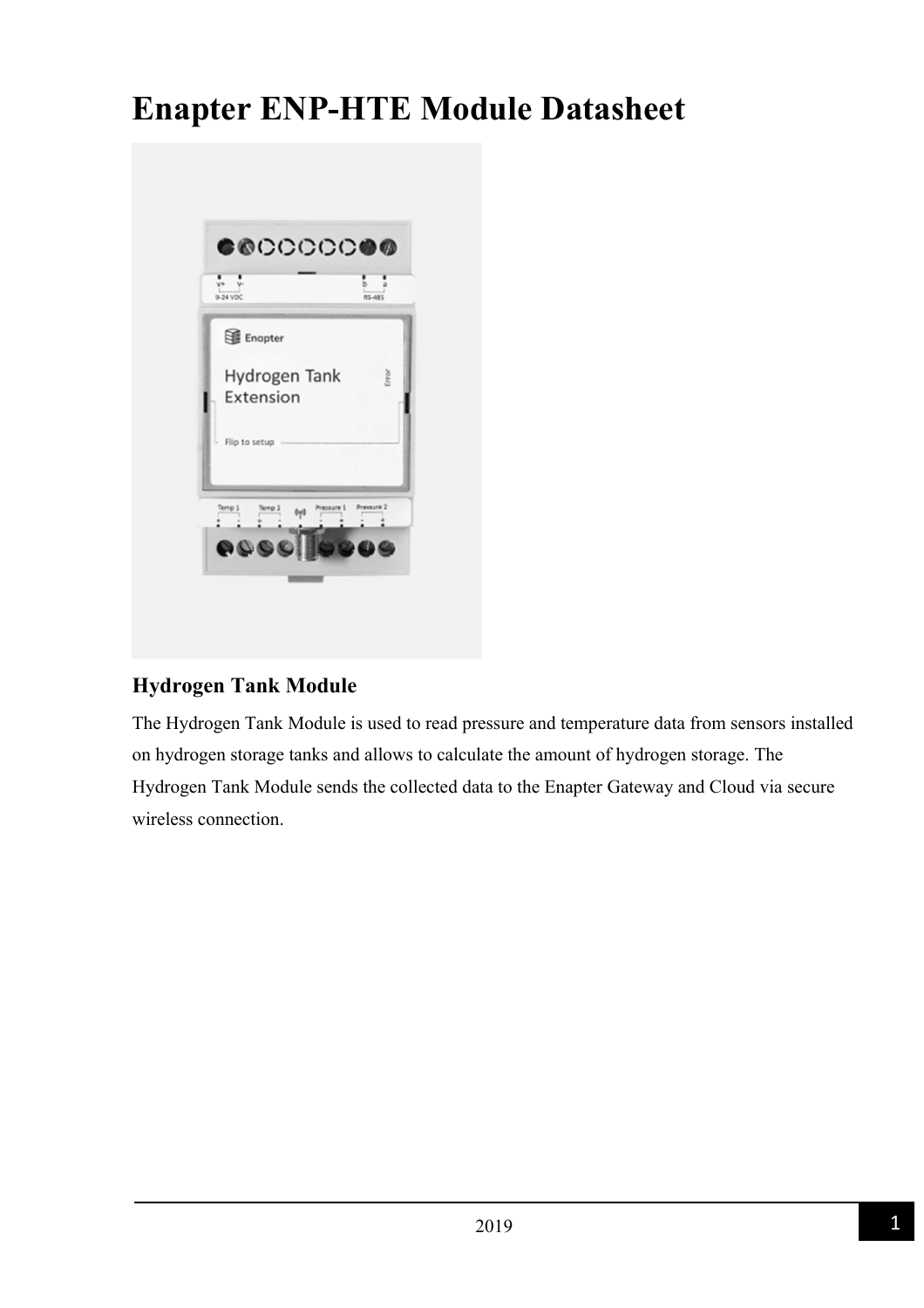# **Enapter ENP-HTE Module Datasheet**

| 9-24 VDC                                  | RS-485     |
|-------------------------------------------|------------|
| Enapter                                   |            |
| Hydrogen Tank<br>Extension                | Error      |
| Flip to setup                             |            |
| Pressure 1<br>Terro 1<br>Terrio 2<br>(vd) | Pressure 2 |

#### **Hydrogen Tank Module**

The Hydrogen Tank Module is used to read pressure and temperature data from sensors installed on hydrogen storage tanks and allows to calculate the amount of hydrogen storage. The Hydrogen Tank Module sends the collected data to the Enapter Gateway and Cloud via secure wireless connection.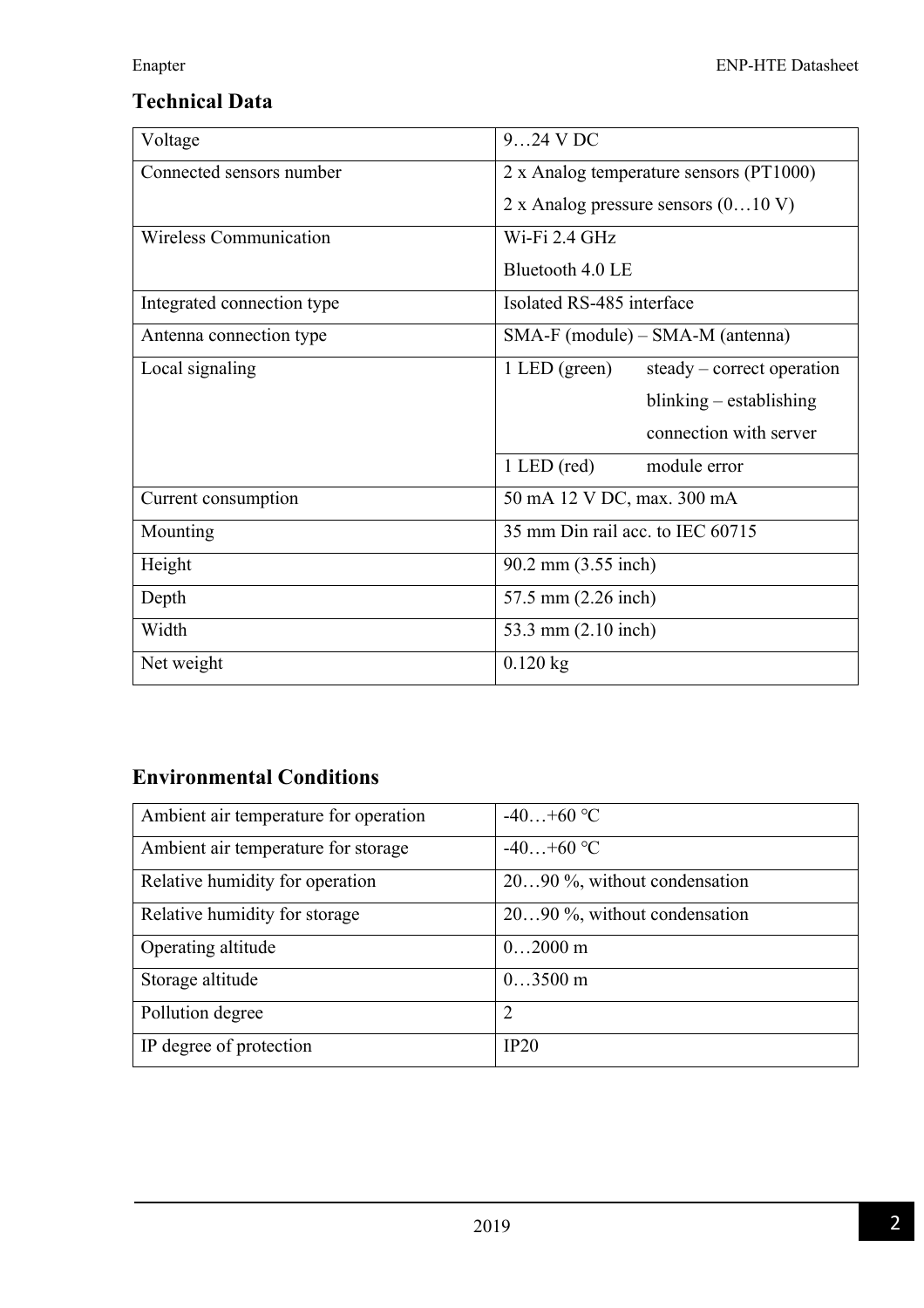# **Technical Data**

| Voltage                    | 924 V DC                                      |  |
|----------------------------|-----------------------------------------------|--|
| Connected sensors number   | 2 x Analog temperature sensors (PT1000)       |  |
|                            | 2 x Analog pressure sensors $(010 \text{ V})$ |  |
| Wireless Communication     | Wi-Fi 2.4 GHz                                 |  |
|                            | Bluetooth 4.0 LE                              |  |
| Integrated connection type | Isolated RS-485 interface                     |  |
| Antenna connection type    | $SMA-F$ (module) – $SMA-M$ (antenna)          |  |
| Local signaling            | $1$ LED (green)<br>steady – correct operation |  |
|                            | blinking - establishing                       |  |
|                            | connection with server                        |  |
|                            | $1$ LED (red)<br>module error                 |  |
| Current consumption        | 50 mA 12 V DC, max. 300 mA                    |  |
| Mounting                   | 35 mm Din rail acc. to IEC 60715              |  |
| Height                     | 90.2 mm (3.55 inch)                           |  |
| Depth                      | 57.5 mm (2.26 inch)                           |  |
| Width                      | 53.3 mm (2.10 inch)                           |  |
| Net weight                 | $0.120$ kg                                    |  |

## **Environmental Conditions**

| Ambient air temperature for operation | $-40+60$ °C                  |
|---------------------------------------|------------------------------|
| Ambient air temperature for storage   | $-40+60$ °C                  |
| Relative humidity for operation       | 2090 %, without condensation |
| Relative humidity for storage         | 2090 %, without condensation |
| Operating altitude                    | $02000$ m                    |
| Storage altitude                      | $03500 \text{ m}$            |
| Pollution degree                      | $\overline{2}$               |
| IP degree of protection               | IP20                         |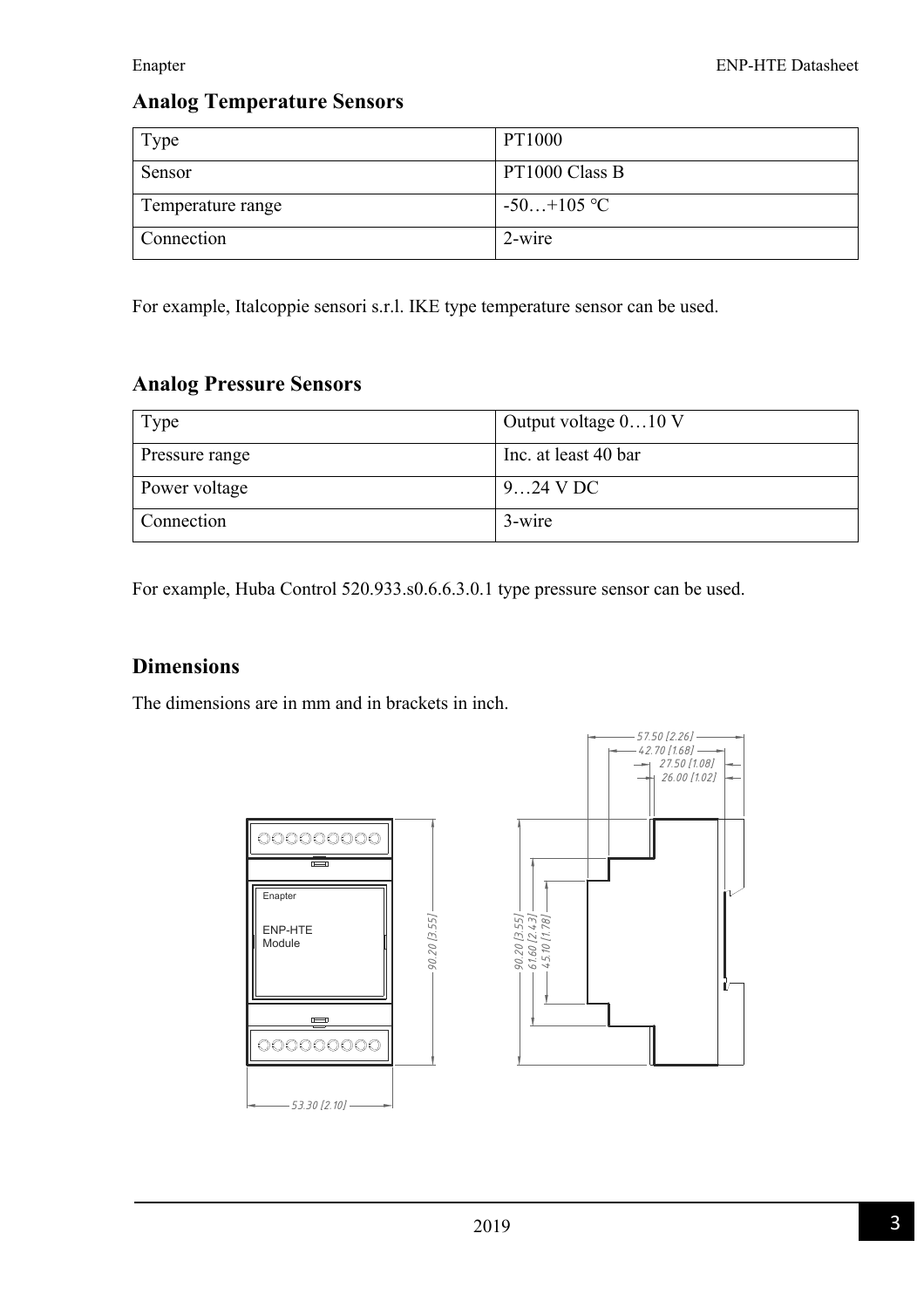#### **Analog Temperature Sensors**

| Type              | PT1000         |
|-------------------|----------------|
| Sensor            | PT1000 Class B |
| Temperature range | $-50+105$ °C   |
| Connection        | 2-wire         |

For example, Italcoppie sensori s.r.l. IKE type temperature sensor can be used.

#### **Analog Pressure Sensors**

| Type           | Output voltage $010$ V |
|----------------|------------------------|
| Pressure range | Inc. at least 40 bar   |
| Power voltage  | $924$ V DC             |
| Connection     | 3-wire                 |

For example, Huba Control 520.933.s0.6.6.3.0.1 type pressure sensor can be used.

#### **Dimensions**

The dimensions are in mm and in brackets in inch.



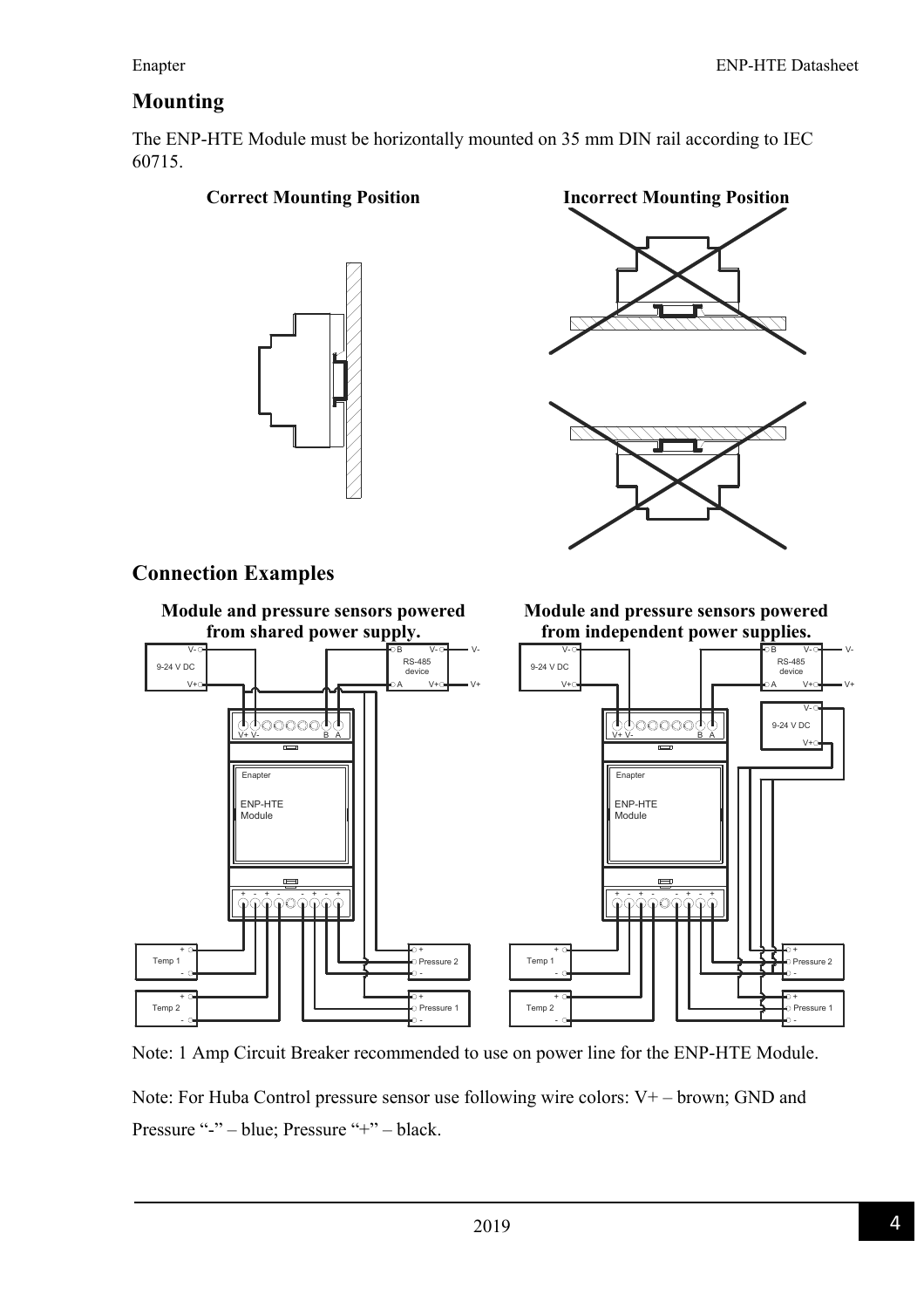#### **Mounting**

The ENP-HTE Module must be horizontally mounted on 35 mm DIN rail according to IEC 60715.

#### **Correct Mounting Position Incorrect Mounting Position**





#### **Connection Examples**



Note: 1 Amp Circuit Breaker recommended to use on power line for the ENP-HTE Module. Note: For Huba Control pressure sensor use following wire colors: V+ – brown; GND and Pressure "-" – blue; Pressure "+" – black.